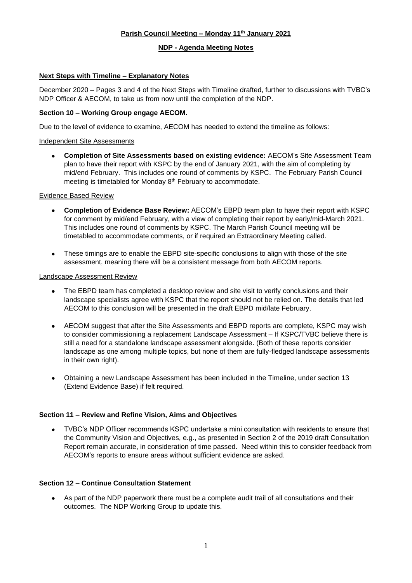# **Parish Council Meeting – Monday 11th January 2021**

#### **NDP - Agenda Meeting Notes**

# **Next Steps with Timeline – Explanatory Notes**

December 2020 – Pages 3 and 4 of the Next Steps with Timeline drafted, further to discussions with TVBC's NDP Officer & AECOM, to take us from now until the completion of the NDP.

# **Section 10 – Working Group engage AECOM.**

Due to the level of evidence to examine, AECOM has needed to extend the timeline as follows:

### Independent Site Assessments

• **Completion of Site Assessments based on existing evidence:** AECOM's Site Assessment Team plan to have their report with KSPC by the end of January 2021, with the aim of completing by mid/end February. This includes one round of comments by KSPC. The February Parish Council meeting is timetabled for Monday 8<sup>th</sup> February to accommodate.

#### Evidence Based Review

- **Completion of Evidence Base Review:** AECOM's EBPD team plan to have their report with KSPC for comment by mid/end February, with a view of completing their report by early/mid-March 2021. This includes one round of comments by KSPC. The March Parish Council meeting will be timetabled to accommodate comments, or if required an Extraordinary Meeting called.
- These timings are to enable the EBPD site-specific conclusions to align with those of the site assessment, meaning there will be a consistent message from both AECOM reports.

#### Landscape Assessment Review

- The EBPD team has completed a desktop review and site visit to verify conclusions and their landscape specialists agree with KSPC that the report should not be relied on. The details that led AECOM to this conclusion will be presented in the draft EBPD mid/late February.
- AECOM suggest that after the Site Assessments and EBPD reports are complete, KSPC may wish to consider commissioning a replacement Landscape Assessment – If KSPC/TVBC believe there is still a need for a standalone landscape assessment alongside. (Both of these reports consider landscape as one among multiple topics, but none of them are fully-fledged landscape assessments in their own right).
- Obtaining a new Landscape Assessment has been included in the Timeline, under section 13 (Extend Evidence Base) if felt required.

# **Section 11 – Review and Refine Vision, Aims and Objectives**

• TVBC's NDP Officer recommends KSPC undertake a mini consultation with residents to ensure that the Community Vision and Objectives, e.g., as presented in Section 2 of the 2019 draft Consultation Report remain accurate, in consideration of time passed. Need within this to consider feedback from AECOM's reports to ensure areas without sufficient evidence are asked.

# **Section 12 – Continue Consultation Statement**

• As part of the NDP paperwork there must be a complete audit trail of all consultations and their outcomes. The NDP Working Group to update this.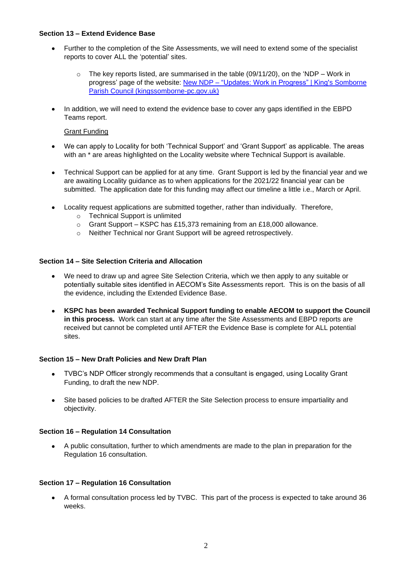### **Section 13 – Extend Evidence Base**

- Further to the completion of the Site Assessments, we will need to extend some of the specialist reports to cover ALL the 'potential' sites.
	- $\circ$  The key reports listed, are summarised in the table (09/11/20), on the 'NDP Work in progress' page of the website: New NDP – ["Updates: Work in Progress" | King's Somborne](https://kingssomborne-pc.gov.uk/new-ndp-updates-work-in-progress/)  [Parish Council \(kingssomborne-pc.gov.uk\)](https://kingssomborne-pc.gov.uk/new-ndp-updates-work-in-progress/)
- In addition, we will need to extend the evidence base to cover any gaps identified in the EBPD Teams report.

# Grant Funding

- We can apply to Locality for both 'Technical Support' and 'Grant Support' as applicable. The areas with an  $*$  are areas highlighted on the Locality website where Technical Support is available.
- Technical Support can be applied for at any time. Grant Support is led by the financial year and we are awaiting Locality guidance as to when applications for the 2021/22 financial year can be submitted. The application date for this funding may affect our timeline a little i.e., March or April.
- Locality request applications are submitted together, rather than individually. Therefore,
	- o Technical Support is unlimited
	- o Grant Support KSPC has £15,373 remaining from an £18,000 allowance.
	- o Neither Technical nor Grant Support will be agreed retrospectively.

#### **Section 14 – Site Selection Criteria and Allocation**

- We need to draw up and agree Site Selection Criteria, which we then apply to any suitable or potentially suitable sites identified in AECOM's Site Assessments report. This is on the basis of all the evidence, including the Extended Evidence Base.
- **KSPC has been awarded Technical Support funding to enable AECOM to support the Council in this process.** Work can start at any time after the Site Assessments and EBPD reports are received but cannot be completed until AFTER the Evidence Base is complete for ALL potential sites.

#### **Section 15 – New Draft Policies and New Draft Plan**

- TVBC's NDP Officer strongly recommends that a consultant is engaged, using Locality Grant Funding, to draft the new NDP.
- Site based policies to be drafted AFTER the Site Selection process to ensure impartiality and objectivity.

#### **Section 16 – Regulation 14 Consultation**

• A public consultation, further to which amendments are made to the plan in preparation for the Regulation 16 consultation.

#### **Section 17 – Regulation 16 Consultation**

• A formal consultation process led by TVBC. This part of the process is expected to take around 36 weeks.